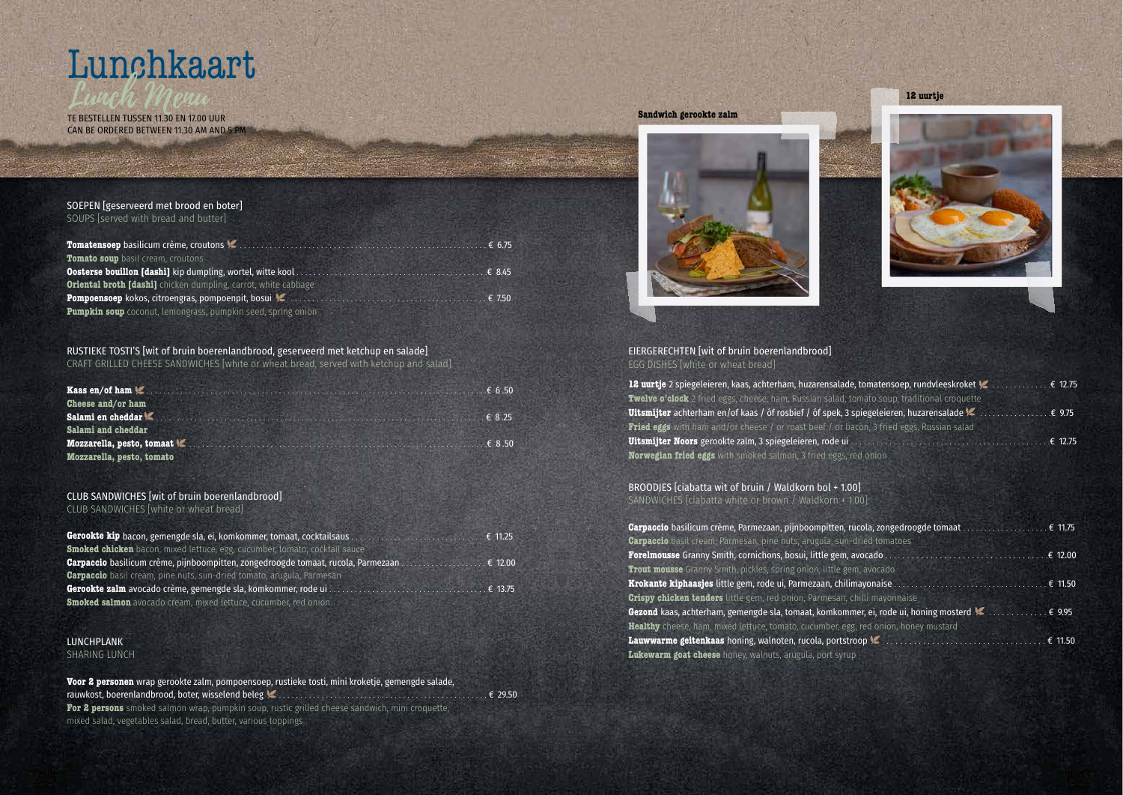# Lunchkaart

TE BESTELLEN TUSSEN 11.30 EN 17.00 UUR CAN BE ORDERED BETWEEN 11.30 AM AND 5 PM

### SOEPEN [geserveerd met brood en boter]

SOUPS [served with bread and butter]

|                                                                       | £ 675 |
|-----------------------------------------------------------------------|-------|
| Tomato soup basil cream, croutons                                     |       |
|                                                                       |       |
| <b>Oriental broth [dashi]</b> chicken dumpling, carrot, white cabbage |       |
|                                                                       |       |
| <b>Pumpkin soup</b> coconut, lemongrass, pumpkin seed, spring onion   |       |

### RUSTIEKE TOSTI'S [wit of bruin boerenlandbrood, geserveerd met ketchup en salade]

CRAFT GRILLED CHEESE SANDWICHES [white or wheat bread, served with ketchup and salad]

| Cheese and/or ham                                                                                                                                                                                                                        |                 |
|------------------------------------------------------------------------------------------------------------------------------------------------------------------------------------------------------------------------------------------|-----------------|
| Salami en cheddar <sup>1</sup> (Allen and Chemistry and Chemistry and Chemistry and Chemistry and Chemistry and Chemistry and Chemistry and Chemistry and Chemistry and Chemistry and Chemistry and Chemistry and Chemistry and Chemistr | $\epsilon$ 8.25 |
| Salami and cheddar                                                                                                                                                                                                                       |                 |
|                                                                                                                                                                                                                                          | $\epsilon$ 8.50 |
| Mozzarella, pesto, tomato                                                                                                                                                                                                                |                 |

#### CLUB SANDWICHES [wit of bruin boerenlandbrood]

CLUB SANDWICHES [white or wheat bread]

. . BROODJES [ciabatta wit of bruin / Waldkorn bol + 1.00] SANDWICHES [ciabatta white or brown / Waldkorn + 1.00]

| Gerookte kip bacon, gemengde sla, ei, komkommer, tomaat, cocktailsaus                                                   |                    |
|-------------------------------------------------------------------------------------------------------------------------|--------------------|
| <b>Smoked chicken</b> bacon, mixed lettuce, egg, cucumber, tomato, cocktail sauce                                       |                    |
| <b>Carpaccio</b> basilicum crème, pijnboompitten, zongedroogde tomaat, rucola, Parmezaan                                | $\ldots \in 12.00$ |
| <b>Carpaccio</b> basil cream, pine nuts, sun-dried tomato, arugula, Parmesan                                            |                    |
| Gerookte zalm avocado crème, gemengde sla, komkommer, rode ui<br>the state of the company of the company of the company | $\epsilon$ 13.75   |
| <b>Smoked salmon</b> avocado cream, mixed lettuce, cucumber, red onion                                                  |                    |

#### LUNCHPLANK

Garpaccio basilicum crème, Parmezaan, pijnboompitten, **Carpaccio** basil cream, Parmesan, pine nuts, arugula, sun Forelmousse Granny Smith, cornichons, bosui, little gem **Trout mousse** Granny Smith, pickles, spring onion, little g Krokante kiphaasjes little gem, rode ui, Parmezaan, chi **Crispy chicken tenders** little gem, red onion, Parmesan Gezond kaas, achterham, gemengde sla, tomaat, komkon **Healthy** cheese, ham, mixed lettuce, tomato, cucumber, egg Lauwwarme geitenkaas honing, walnoten, rucola, ports **Lukewarm goat cheese** honey, walnuts, arugula, port syrup

SHARING LUNCH

**Voor 2 personen** wrap gerookte zalm, pompoensoep, rustieke tosti, mini kroketje, gemengde salade, rauwkost, boerenlandbrood, boter, wisselend beleg . . . . . . . . . . . . . . . . . . . . . . . . . . . . . . . . . . . . . . . . . . . . . . . . . € 29.50 **For 2 persons** smoked salmon wrap, pumpkin soup, rustic grilled cheese sandwich, mini croquette, mixed salad, vegetables salad, bread, butter, various toppings

#### EIERGERECHTEN [wit of bruin boerenlandbrood] EGG DISHES [white or wheat bread]

12 uurtje 2 spiegeleieren, kaas, achterham, huzarensalade Twelve o'clock 2 fried eggs, cheese, ham, Russian salad **Uitsmijter** achterham en/of kaas / óf rosbief / óf spek, 3 **Fried eggs** with ham and/or cheese / or roast beef / or **Uitsmijter Noors** gerookte zalm, 3 spiegeleieren, rode ui **Norwegian fried eggs** with smoked salmon, 3 fried eggs, red onio

**Sandwich gerookte zalm** 







| e, tomatensoep, rundvleeskroket $\blacktriangleright\hspace{-4.5mm}\blacktriangleright\hspace{-4.5mm}\ldots\ldots\ldots\ldots\in$ 12.75 |  |
|-----------------------------------------------------------------------------------------------------------------------------------------|--|
| tomato soup, traditional croquette                                                                                                      |  |
| spiegeleieren, huzarensalade                                                                                                            |  |
| acon, 3 fried eggs, Russian salad                                                                                                       |  |
|                                                                                                                                         |  |
|                                                                                                                                         |  |

| -dried tomatoes                                                                                               |  |
|---------------------------------------------------------------------------------------------------------------|--|
|                                                                                                               |  |
| em, avocado                                                                                                   |  |
|                                                                                                               |  |
| chilli mayonnaise                                                                                             |  |
| mer, ei, rode ui, honing mosterd $\blacktriangleright$ € 9.95                                                 |  |
| gg, red onion, honey mustard                                                                                  |  |
| $\mathsf{Irop}\n\blacktriangleright\n \cdots\n \cdots\n \cdots\n \cdots\n \cdots\n \cdots\n \mathsf{f}$ 11.50 |  |
|                                                                                                               |  |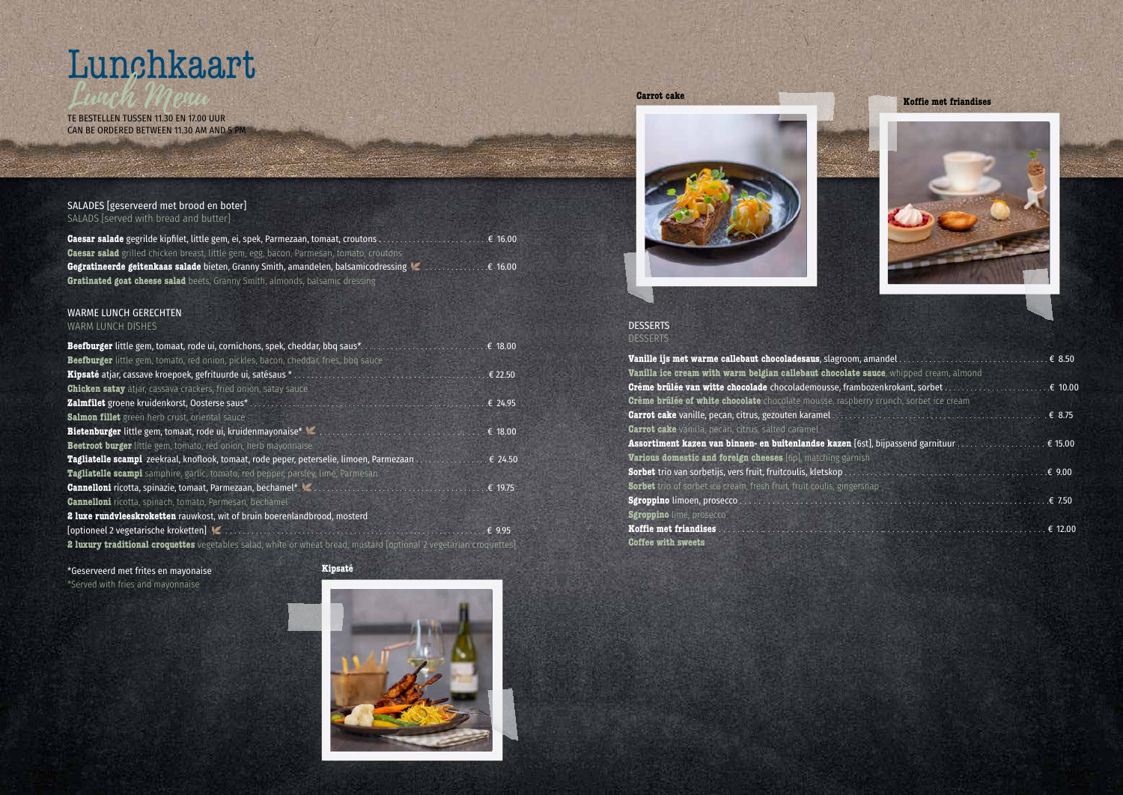#### **DESSERTS** DESSERTS

# Lunchkaart

TE BESTELLEN TUSSEN 11.30 EN 17.00 UUR CAN BE ORDERED BETWEEN 11.30 AM AND 5 PM





| ate sauce, whipped cream, almond |  |
|----------------------------------|--|
|                                  |  |
| pberry crunch, sorbet ice cream  |  |
|                                  |  |
| ırnish                           |  |
|                                  |  |
| gersnap                          |  |
|                                  |  |

#### WARME LUNCH GERECHTEN WARM LUNCH DISHES

#### SALADES [geserveerd met brood en boter] SALADS [served with bread and butter]

| <b>Caesar salad</b> grilled chicken breast, little gem, egg, bacon, Parmesan, tomato, croutons                            |  |
|---------------------------------------------------------------------------------------------------------------------------|--|
| <b>Gegratineerde geitenkaas salade</b> bieten, Granny Smith, amandelen, balsamicodressing <b>Channical School</b> 6 16.00 |  |
| <b>Gratinated goat cheese salad</b> beets, Granny Smith, almonds, balsamic dressing                                       |  |

|                                                                                                                                                               |              | <b>DESSERTS</b>                                                                                                                                                                                                                                                     |
|---------------------------------------------------------------------------------------------------------------------------------------------------------------|--------------|---------------------------------------------------------------------------------------------------------------------------------------------------------------------------------------------------------------------------------------------------------------------|
| Beefburger little gem, tomaat, rode ui, cornichons, spek, cheddar, bbq saus*                                                                                  | € 18.00      |                                                                                                                                                                                                                                                                     |
| Beefburger little gem, tomato, red onion, pickles, bacon, cheddar, fries, bbq sauce                                                                           |              | Vanille ijs met warme callebaut chocoladesaus, slagroom, ama                                                                                                                                                                                                        |
| Kipsaté atjar, cassave kroepoek, gefrituurde ui, satésaus *                                                                                                   | € 22.50      | Vanilla ice cream with warm belgian callebaut chocolate saue                                                                                                                                                                                                        |
| <b>Chicken satay</b> atjar, cassava crackers, fried onion, satay sauce                                                                                        |              | Grème brûlée van witte chocolade chocolademousse, framboze                                                                                                                                                                                                          |
| Zalmfilet groene kruidenkorst, Oosterse saus*                                                                                                                 | £ 24.95      | Crème brûlée of white chocolate chocolate mousse, raspberry of                                                                                                                                                                                                      |
| <b>Salmon fillet</b> green herb crust, oriental sauce                                                                                                         |              | <b>Carrot cake</b> vanille, pecan, citrus, gezouten karamel                                                                                                                                                                                                         |
|                                                                                                                                                               | € 18.00      | <b>Carrot cake</b> vanilla, pecan, citrus, salted caramel                                                                                                                                                                                                           |
| Beetroot burger little gem, tomato, red onion, herb mayonnaise                                                                                                |              | Assortiment kazen van binnen- en buitenlandse kazen [6st], b                                                                                                                                                                                                        |
| Tagliatelle scampi zeekraal, knoflook, tomaat, rode peper, peterselie, limoen, Parmezaan                                                                      | $\in 24.50$  | Various domestic and foreign cheeses [6p], matching garnish                                                                                                                                                                                                         |
| Tagliatelle scampi samphire, garlic, tomato, red pepper, parsley, lime, Parmesan                                                                              |              | <b>Sorbet</b> trio van sorbetijs, vers fruit, fruitcoulis, kletskop                                                                                                                                                                                                 |
|                                                                                                                                                               | € 19.75      | <b>Sorbet</b> trio of sorbet ice cream, fresh fruit, fruit coulis, gingersnap                                                                                                                                                                                       |
| <b>Cannelloni</b> ricotta, spinach, tomato, Parmesan, béchamel                                                                                                |              | Sgroppino limoen, prosecco.<br><b>College of the College of the College of the College of the College of the College of the College of the College of the College of the College of the College of the College of the College of the College of the College of </b> |
| 2 luxe rundvleeskroketten rauwkost, wit of bruin boerenlandbrood, mosterd                                                                                     |              | <b>Sgroppino</b> lime, prosecco                                                                                                                                                                                                                                     |
| [optioneel 2 vegetarische kroketten]<br><u> 1988 - Jan Barristo, amerikan menyebat di sebagai personal di sebagai personal di sebagai personal di sebagai</u> | $E \in 9.95$ | Koffie met friandises                                                                                                                                                                                                                                               |
| <b>2 luxury traditional croquettes</b> vegetables salad, white or wheat bread, mustard [optional 2 vegetarian croquettes]                                     |              | <b>Coffee with sweets</b>                                                                                                                                                                                                                                           |
|                                                                                                                                                               |              |                                                                                                                                                                                                                                                                     |

\*Geserveerd met frites en mayonaise \*Served with fries and mayonnaise



**Kipsaté**

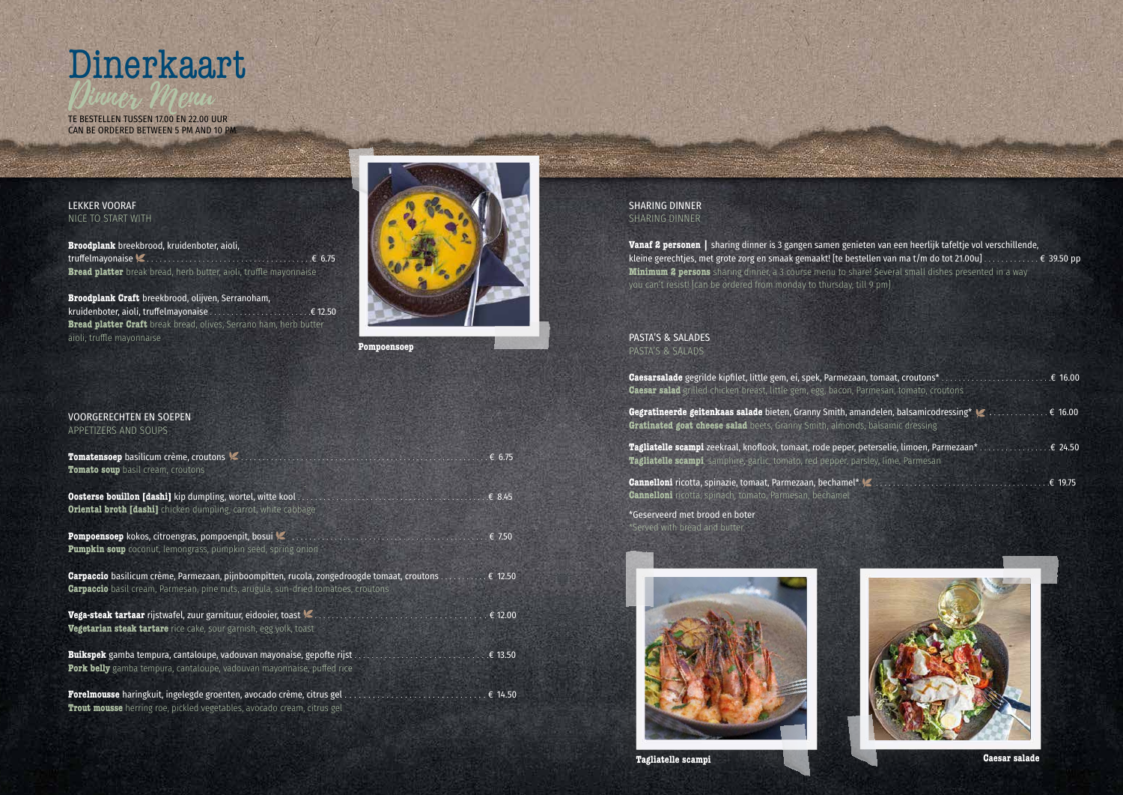#### LEKKER VOORAF NICE TO START WITH

**Broodplank** breekbrood, kruidenboter, aioli, truffelmayonaise . . . . . . . . . . . . . . . . . . . . . . . . . . . . . . . . . . . . . . . .€ 6.75 **Bread platter** break bread, herb butter, aioli, truffle mayonnaise

**Broodplank Craft** breekbrood, olijven, Serranoham, kruidenboter, aioli, truffelmayonaise . . . . . . . . . . . . . . . . . . . . . . . .€ 12.50 **Bread platter Craft** break bread, olives, Serrano ham, herb butter aioli, truffle mayonnaise



#### VOORGERECHTEN EN SOEPEN

APPETIZERS AND SOUPS

| Tomatensoep basilicum crème, croutons<br>Tomato soup basil cream, croutons                                                                                                                     | € 6.75          |
|------------------------------------------------------------------------------------------------------------------------------------------------------------------------------------------------|-----------------|
| Oosterse bouillon [dashi] kip dumpling, wortel, witte kool<br><b>Oriental broth [dashi]</b> chicken dumpling, carrot, white cabbage                                                            | € 8.45          |
| <b>Pompoensoep</b> kokos, citroengras, pompoenpit, bosui<br>Pumpkin soup coconut, lemongrass, pumpkin seed, spring onion                                                                       | $\epsilon$ 7.50 |
| <b>Carpaccio</b> basilicum crème, Parmezaan, pijnboompitten, rucola, zongedroogde tomaat, croutons<br><b>Carpaccio</b> basil cream, Parmesan, pine nuts, arugula, sun-dried tomatoes, croutons | € 12.50         |
| Vega-steak tartaar rijstwafel, zuur garnituur, eidooier, toast<br>Vegetarian steak tartare rice cake, sour garnish, egg yolk, toast                                                            | € 12.00         |
| Buikspek gamba tempura, cantaloupe, vadouvan mayonaise, gepofte rijst<br>Pork belly gamba tempura, cantaloupe, vadouvan mayonnaise, puffed rice                                                | € 13.50         |
| Forelmousse haringkuit, ingelegde groenten, avocado crème, citrus gel.<br><b>Trout mousse</b> herring roe, pickled vegetables, avocado cream, citrus gel                                       | € 14.50         |



CAN BE ORDERED BETWEEN 5 PM AND 10 PM

**Pompoensoep**

#### SHARING DINNER SHARING DINNER

**Vanaf 2 personen |** sharing dinner is 3 gangen samen genieten van een heerlijk tafeltje vol verschillende, kleine gerechtjes, met grote zorg en smaak gemaakt! [te bestellen van ma t/m do tot 21.00u] . . . . . . . . . . . . . € 39.50 pp **Minimum 2 persons** sharing dinner, a 3 course menu to share! Several small dishes presented in a way you can't resist! [can be ordered from monday to thursday, till 9 pm]

#### PASTA'S & SALADES PASTA'S & SALADS

| Gaesar salad grilled chicken breast, little gem, egg, bacon, Parmesan, tomato, croutons                                                                                                           |          |
|---------------------------------------------------------------------------------------------------------------------------------------------------------------------------------------------------|----------|
| Gegratineerde geitenkaas salade bieten, Granny Smith, amandelen, balsamicodressing* $\blacktriangleright$ € 16.00<br>Gratinated goat cheese salad beets, Granny Smith, almonds, balsamic dressing |          |
| <b>Tagliatelle scampi</b> zeekraal, knoflook, tomaat, rode peper, peterselie, limoen, Parmezaan* € 24.50<br>Tagliatelle scampi, samphire, garlic, tomato, red pepper, parsley, lime, Parmesan     |          |
| Cannelloni ricotta, spinazie, tomaat, Parmezaan, bechamel* Vannamilion and contain an annumilion and containin                                                                                    | .€ 19.75 |



**Cannelloni** ricotta, spinach, tomato, Parmesan, béchamel

\*Geserveerd met brood en boter \*Served with bread and butter



**Tagliatelle scampi Caesar salade**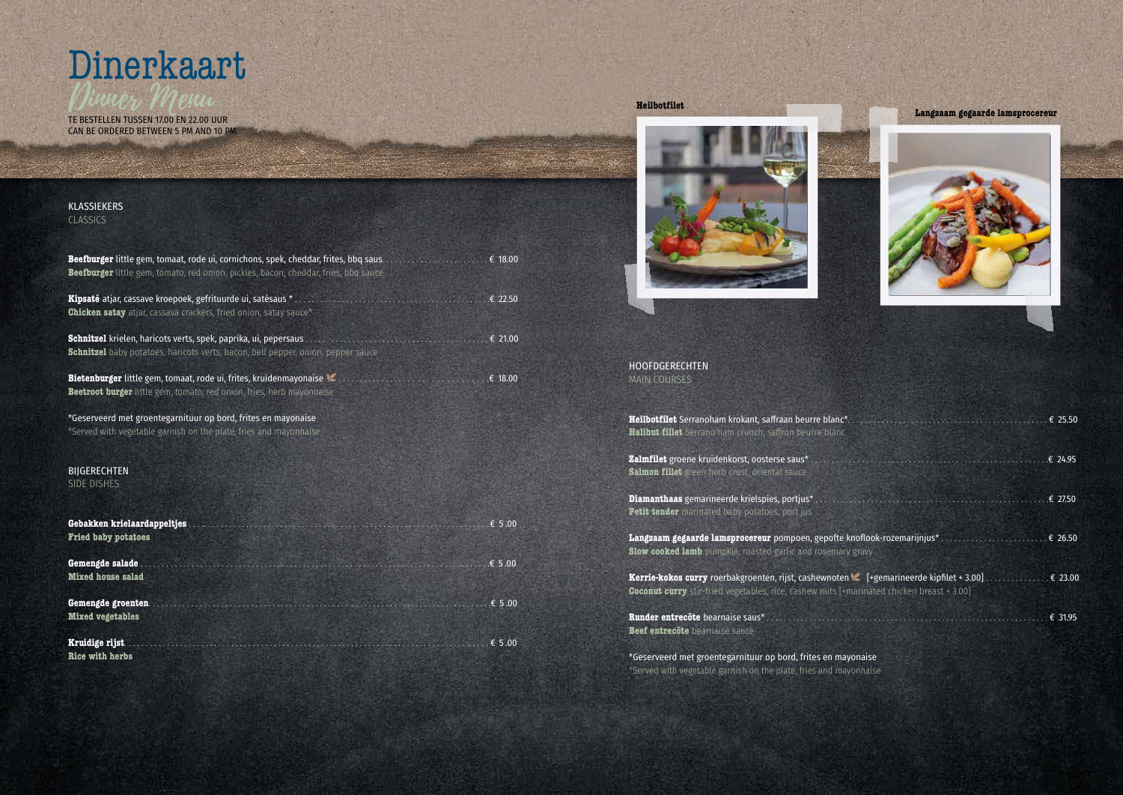#### KLASSIEKERS **CLASSICS**

| Beefburger little gem, tomato, red onion, pickles, bacon, cheddar, fries, bbq sauce                                                                               |         |
|-------------------------------------------------------------------------------------------------------------------------------------------------------------------|---------|
| <b>Chicken satay</b> atjar, cassava crackers, fried onion, satay sauce*                                                                                           |         |
| <b>Schnitzel</b> krielen, haricots verts, spek, paprika, ui, pepersaus<br><b>Schnitzel</b> baby potatoes, haricots verts, bacon, bell pepper, onion, pepper sauce | € 21.00 |
| <b>Bietenburger</b> little gem, tomaat, rode ui, frites, kruidenmayonaise<br>.<br>Beetroot burger little gem, tomato, red onion, fries, herb mayonnaise           | € 18.00 |
| *Geserveerd met groentegarnituur op bord, frites en mayonaise<br>*Served with vegetable garnish on the plate, fries and mayonnaise                                |         |
| <b>BIJGERECHTEN</b><br><b>SIDE DISHES</b>                                                                                                                         |         |
| Gebakken krielaardappeltjes<br><b>Fried baby potatoes</b>                                                                                                         |         |
| Gemengde salade.<br><b>Mixed house salad</b>                                                                                                                      |         |
| Gemengde groenten<br><b>Mixed vegetables</b>                                                                                                                      | € 5.00  |
| Kruidige rijst.<br><b>Rice with herbs</b>                                                                                                                         | € 5.00  |



CAN BE ORDERED BETWEEN 5 PM AND 10 PM

HOOFDGERECHTEN MAIN COURSES

**Heilbotfilet** Serranoham krokant, saffraan beurre blanc\*. . . . . . . . . . . . . . . . . . . . . . . . . . . . . . . . . . . . . . . . . . . . . . . € 25.50 **Halibut fillet** Serrano ham crunch, saffron beurre blanc **Zalmfilet** groene kruidenkorst, oosterse saus\* . . . . . . . . . . . . . . . . . . . . . . . . . . . . . . . . . . . . . . . . . . . . . . . . . . . . . . . .€ 24.95 **Salmon fillet** green herb crust, oriental sauce **Diamanthaas** gemarineerde krielspies, portjus\* . . . . . . . . . . . . . . . . . . . . . . . . . . . . . . . . . . . . . . . . . . . . . . . . . . . . . . .€ 27.50 **Petit tender** marinated baby potatoes, port jus **Langzaam gegaarde lamsprocereur** pompoen, gepofte knoflook-rozemarijnjus\* . . . . . . . . . . . . . . . . . . . . . . . . . € 26.50 **Slow cooked lamb** pumpkin, roasted garlic and rosemary gravy **Kerrie-kokos curry** roerbakgroenten, rijst, cashewnoten [+gemarineerde kipfilet + 3.00] . . . . . . . . . . . . . . . € 23.00

**Coconut curry** stir-fried vegetables, rice, cashew nuts [+marinated chicken breast + 3.00]

**Runder entrecôte** bearnaise saus\* . . . . . . . . . . . . . . . . . . . . . . . . . . . . . . . . . . . . . . . . . . . . . . . . . . . . . . . . . . . . . . . . . . € 31.95 **Beef entrecôte** bearnaise sauce

\*Geserveerd met groentegarnituur op bord, frites en mayonaise \*Served with vegetable garnish on the plate, fries and mayonnaise

#### **Heilbotfilet**